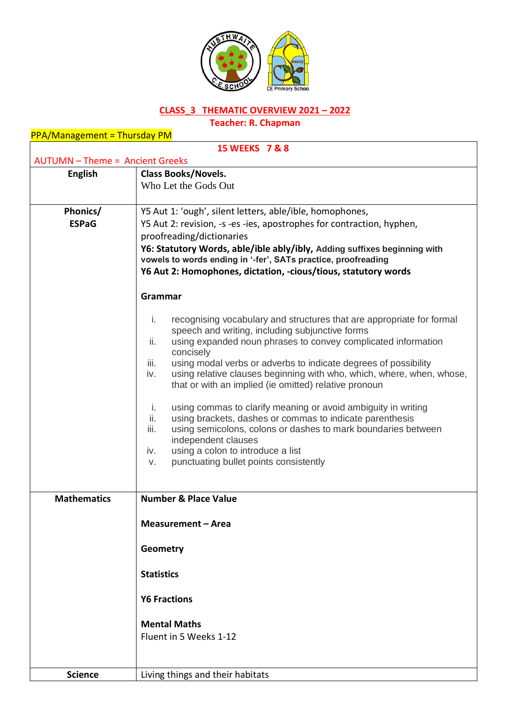

## **CLASS\_3 THEMATIC OVERVIEW 2021 – 2022**

**Teacher: R. Chapman**

| <b>PPA/Management = Thursday PM</b>    |                                                                              |  |
|----------------------------------------|------------------------------------------------------------------------------|--|
| 15 WEEKS 7 & 8                         |                                                                              |  |
| <b>AUTUMN - Theme = Ancient Greeks</b> |                                                                              |  |
| <b>English</b>                         | <b>Class Books/Novels.</b>                                                   |  |
|                                        | Who Let the Gods Out                                                         |  |
|                                        |                                                                              |  |
| Phonics/                               | Y5 Aut 1: 'ough', silent letters, able/ible, homophones,                     |  |
| <b>ESPaG</b>                           | Y5 Aut 2: revision, -s -es -ies, apostrophes for contraction, hyphen,        |  |
|                                        | proofreading/dictionaries                                                    |  |
|                                        | Y6: Statutory Words, able/ible ably/ibly, Adding suffixes beginning with     |  |
|                                        | vowels to words ending in '-fer', SATs practice, proofreading                |  |
|                                        | Y6 Aut 2: Homophones, dictation, -cious/tious, statutory words               |  |
|                                        |                                                                              |  |
|                                        | Grammar                                                                      |  |
|                                        | i.<br>recognising vocabulary and structures that are appropriate for formal  |  |
|                                        | speech and writing, including subjunctive forms                              |  |
|                                        | using expanded noun phrases to convey complicated information<br>ii.         |  |
|                                        | concisely                                                                    |  |
|                                        | iii.<br>using modal verbs or adverbs to indicate degrees of possibility      |  |
|                                        | using relative clauses beginning with who, which, where, when, whose,<br>iv. |  |
|                                        | that or with an implied (ie omitted) relative pronoun                        |  |
|                                        | using commas to clarify meaning or avoid ambiguity in writing<br>i.          |  |
|                                        | using brackets, dashes or commas to indicate parenthesis<br>ii.              |  |
|                                        | iii.<br>using semicolons, colons or dashes to mark boundaries between        |  |
|                                        | independent clauses                                                          |  |
|                                        | using a colon to introduce a list<br>iv.                                     |  |
|                                        | punctuating bullet points consistently<br>V.                                 |  |
|                                        |                                                                              |  |
| <b>Mathematics</b>                     | <b>Number &amp; Place Value</b>                                              |  |
|                                        |                                                                              |  |
|                                        | <b>Measurement - Area</b>                                                    |  |
|                                        | Geometry                                                                     |  |
|                                        |                                                                              |  |
|                                        | <b>Statistics</b>                                                            |  |
|                                        | <b>Y6 Fractions</b>                                                          |  |
|                                        |                                                                              |  |
|                                        | <b>Mental Maths</b>                                                          |  |
|                                        | Fluent in 5 Weeks 1-12                                                       |  |
|                                        |                                                                              |  |
|                                        |                                                                              |  |
| <b>Science</b>                         | Living things and their habitats                                             |  |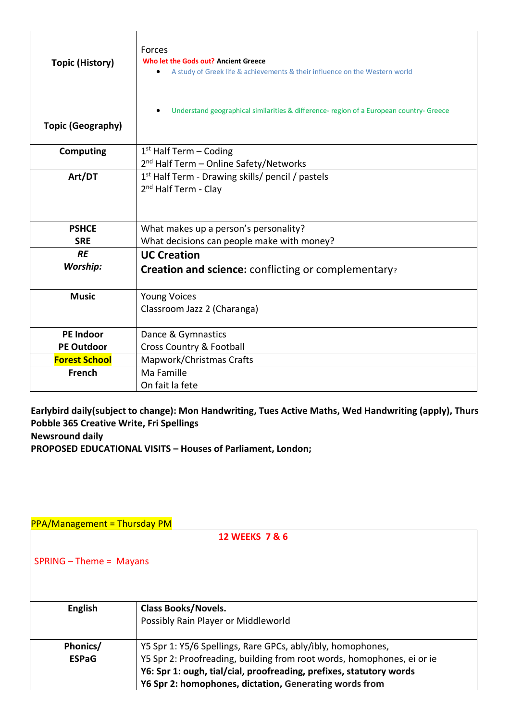|                          | Forces                                                                                  |
|--------------------------|-----------------------------------------------------------------------------------------|
| <b>Topic (History)</b>   | Who let the Gods out? Ancient Greece                                                    |
|                          | A study of Greek life & achievements & their influence on the Western world             |
|                          |                                                                                         |
|                          |                                                                                         |
|                          | Understand geographical similarities & difference- region of a European country- Greece |
| <b>Topic (Geography)</b> |                                                                                         |
|                          |                                                                                         |
| <b>Computing</b>         | $1st$ Half Term – Coding                                                                |
|                          | 2 <sup>nd</sup> Half Term - Online Safety/Networks                                      |
| Art/DT                   | 1 <sup>st</sup> Half Term - Drawing skills/ pencil / pastels                            |
|                          | 2 <sup>nd</sup> Half Term - Clay                                                        |
|                          |                                                                                         |
|                          |                                                                                         |
| <b>PSHCE</b>             | What makes up a person's personality?                                                   |
| <b>SRE</b>               | What decisions can people make with money?                                              |
| <b>RE</b>                | <b>UC Creation</b>                                                                      |
| <b>Worship:</b>          | <b>Creation and science:</b> conflicting or complementary?                              |
|                          |                                                                                         |
| <b>Music</b>             | <b>Young Voices</b>                                                                     |
|                          | Classroom Jazz 2 (Charanga)                                                             |
|                          |                                                                                         |
| <b>PE Indoor</b>         | Dance & Gymnastics                                                                      |
| <b>PE Outdoor</b>        | <b>Cross Country &amp; Football</b>                                                     |
| <b>Forest School</b>     | Mapwork/Christmas Crafts                                                                |
| <b>French</b>            | Ma Famille                                                                              |
|                          | On fait la fete                                                                         |

## **Earlybird daily(subject to change): Mon Handwriting, Tues Active Maths, Wed Handwriting (apply), Thurs Pobble 365 Creative Write, Fri Spellings Newsround daily PROPOSED EDUCATIONAL VISITS – Houses of Parliament, London;**

| <b>PPA/Management = Thursday PM</b> |                                                                        |  |
|-------------------------------------|------------------------------------------------------------------------|--|
| 12 WEEKS 7 & 6                      |                                                                        |  |
| $SPRING - Theme = Mayans$           |                                                                        |  |
| <b>English</b>                      | <b>Class Books/Novels.</b>                                             |  |
|                                     | Possibly Rain Player or Middleworld                                    |  |
| Phonics/                            | Y5 Spr 1: Y5/6 Spellings, Rare GPCs, ably/ibly, homophones,            |  |
| <b>ESPaG</b>                        | Y5 Spr 2: Proofreading, building from root words, homophones, ei or ie |  |
|                                     | Y6: Spr 1: ough, tial/cial, proofreading, prefixes, statutory words    |  |
|                                     | Y6 Spr 2: homophones, dictation, Generating words from                 |  |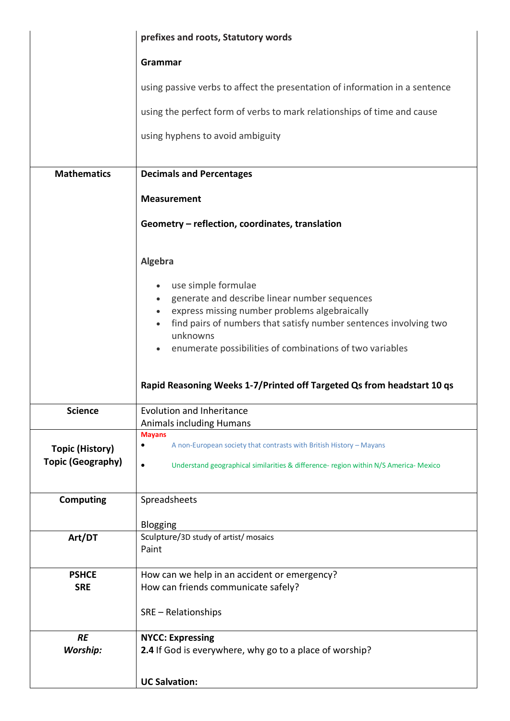|                          | prefixes and roots, Statutory words                                                                                      |
|--------------------------|--------------------------------------------------------------------------------------------------------------------------|
|                          | Grammar                                                                                                                  |
|                          | using passive verbs to affect the presentation of information in a sentence                                              |
|                          | using the perfect form of verbs to mark relationships of time and cause                                                  |
|                          | using hyphens to avoid ambiguity                                                                                         |
|                          |                                                                                                                          |
| <b>Mathematics</b>       | <b>Decimals and Percentages</b>                                                                                          |
|                          | <b>Measurement</b>                                                                                                       |
|                          | Geometry - reflection, coordinates, translation                                                                          |
|                          | Algebra                                                                                                                  |
|                          |                                                                                                                          |
|                          | use simple formulae                                                                                                      |
|                          | generate and describe linear number sequences<br>$\bullet$<br>express missing number problems algebraically<br>$\bullet$ |
|                          | find pairs of numbers that satisfy number sentences involving two                                                        |
|                          | unknowns                                                                                                                 |
|                          | enumerate possibilities of combinations of two variables                                                                 |
|                          | Rapid Reasoning Weeks 1-7/Printed off Targeted Qs from headstart 10 qs                                                   |
| <b>Science</b>           | <b>Evolution and Inheritance</b>                                                                                         |
|                          | <b>Animals including Humans</b>                                                                                          |
| <b>Topic (History)</b>   | <b>Mayans</b><br>A non-European society that contrasts with British History - Mayans<br>٠                                |
| <b>Topic (Geography)</b> | Understand geographical similarities & difference- region within N/S America- Mexico<br>$\bullet$                        |
| <b>Computing</b>         | Spreadsheets                                                                                                             |
|                          | Blogging                                                                                                                 |
| Art/DT                   | Sculpture/3D study of artist/ mosaics<br>Paint                                                                           |
| <b>PSHCE</b>             | How can we help in an accident or emergency?                                                                             |
| <b>SRE</b>               | How can friends communicate safely?                                                                                      |
|                          | SRE - Relationships                                                                                                      |
| <b>RE</b>                | <b>NYCC: Expressing</b>                                                                                                  |
| Worship:                 | 2.4 If God is everywhere, why go to a place of worship?                                                                  |
|                          | <b>UC Salvation:</b>                                                                                                     |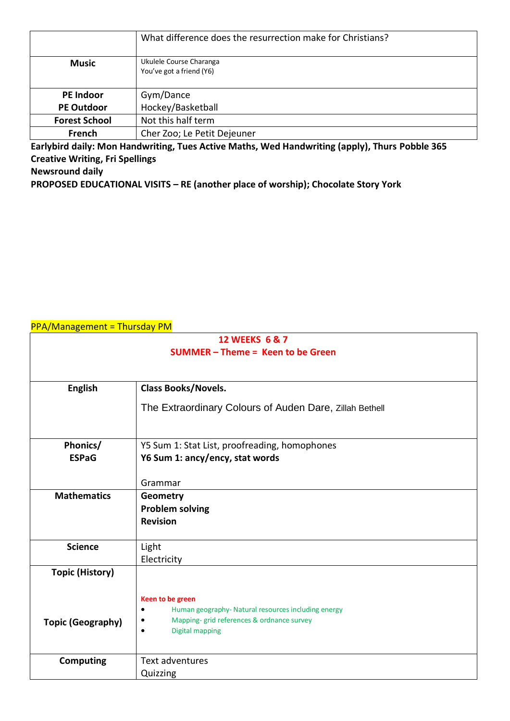|                      | What difference does the resurrection make for Christians? |
|----------------------|------------------------------------------------------------|
| <b>Music</b>         | Ukulele Course Charanga<br>You've got a friend (Y6)        |
| <b>PE Indoor</b>     | Gym/Dance                                                  |
| <b>PE Outdoor</b>    | Hockey/Basketball                                          |
| <b>Forest School</b> | Not this half term                                         |
| French               | Cher Zoo; Le Petit Dejeuner                                |

**Earlybird daily: Mon Handwriting, Tues Active Maths, Wed Handwriting (apply), Thurs Pobble 365 Creative Writing, Fri Spellings Newsround daily**

**PROPOSED EDUCATIONAL VISITS – RE (another place of worship); Chocolate Story York**

| 12 WEEKS 6 & 7                         |                                                                                                        |
|----------------------------------------|--------------------------------------------------------------------------------------------------------|
| <b>SUMMER-Theme = Keen to be Green</b> |                                                                                                        |
|                                        |                                                                                                        |
|                                        |                                                                                                        |
| <b>English</b>                         | Class Books/Novels.                                                                                    |
|                                        | The Extraordinary Colours of Auden Dare, Zillah Bethell                                                |
|                                        |                                                                                                        |
|                                        |                                                                                                        |
| Phonics/                               | Y5 Sum 1: Stat List, proofreading, homophones                                                          |
| <b>ESPaG</b>                           | Y6 Sum 1: ancy/ency, stat words                                                                        |
|                                        |                                                                                                        |
|                                        | Grammar                                                                                                |
| <b>Mathematics</b>                     | <b>Geometry</b>                                                                                        |
|                                        | <b>Problem solving</b>                                                                                 |
|                                        | <b>Revision</b>                                                                                        |
|                                        |                                                                                                        |
| <b>Science</b>                         | Light                                                                                                  |
|                                        | Electricity                                                                                            |
| <b>Topic (History)</b>                 |                                                                                                        |
|                                        |                                                                                                        |
|                                        | Keen to be green                                                                                       |
|                                        | Human geography- Natural resources including energy<br>٠<br>Mapping- grid references & ordnance survey |
| <b>Topic (Geography)</b>               | <b>Digital mapping</b>                                                                                 |
|                                        |                                                                                                        |
| <b>Computing</b>                       | <b>Text adventures</b>                                                                                 |
|                                        | Quizzing                                                                                               |